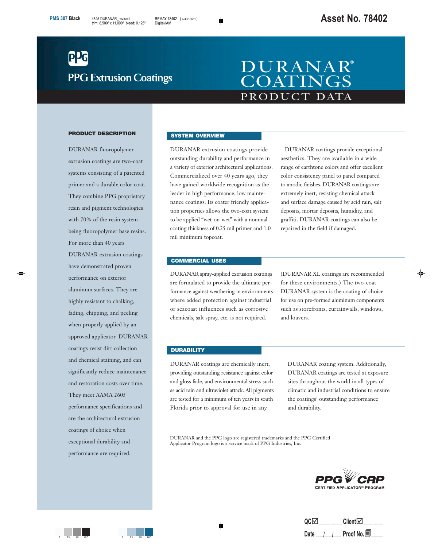# **PPG Extrusion Coatings**

## PRODUCT DATA DURANAR® **COATINGS**

#### **PRODUCT DESCRIPTION**

DURANAR fluoropolymer extrusion coatings are two-coat systems consisting of a patented primer and a durable color coat. They combine PPG proprietary resin and pigment technologies with 70% of the resin system being fluoropolymer base resins. For more than 40 years DURANAR extrusion coatings have demonstrated proven performance on exterior aluminum surfaces. They are highly resistant to chalking, fading, chipping, and peeling when properly applied by an approved applicator. DURANAR coatings resist dirt collection and chemical staining, and can significantly reduce maintenance and restoration costs over time. They meet AAMA 2605 performance specifications and are the architectural extrusion coatings of choice when exceptional durability and performance are required.

#### **SYSTEM OVERVIEW**

DURANAR extrusion coatings provide outstanding durability and performance in a variety of exterior architectural applications. Commercialized over 40 years ago, they have gained worldwide recognition as the leader in high performance, low maintenance coatings. Its coater friendly application properties allows the two-coat system to be applied "wet-on-wet" with a nominal coating thickness of 0.25 mil primer and 1.0 mil minimum topcoat.

DURANAR coatings provide exceptional aesthetics. They are available in a wide range of earthtone colors and offer excellent color consistency panel to panel compared to anodic finishes. DURANAR coatings are extremely inert, resisting chemical attack and surface damage caused by acid rain, salt deposits, mortar deposits, humidity, and graffiti. DURANAR coatings can also be repaired in the field if damaged.

#### **COMMERCIAL USES**

DURANAR spray-applied extrusion coatings are formulated to provide the ultimate performance against weathering in environments where added protection against industrial or seacoast influences such as corrosive chemicals, salt spray, etc. is not required.

(DURANAR XL coatings are recommended for these environments.) The two-coat DURANAR system is the coating of choice for use on pre-formed aluminum components such as storefronts, curtainwalls, windows, and louvers.

#### **DURABILITY**

DURANAR coatings are chemically inert, providing outstanding resistance against color and gloss fade, and environmental stress such as acid rain and ultraviolet attack. All pigments are tested for a minimum of ten years in south Florida prior to approval for use in any

DURANAR coating system. Additionally, DURANAR coatings are tested at exposure sites throughout the world in all types of climatic and industrial conditions to ensure the coatings' outstanding performance and durability.

DURANAR and the PPG logo are registered trademarks and the PPG Certified Applicator Program logo is a service mark of PPG Industries, Inc.